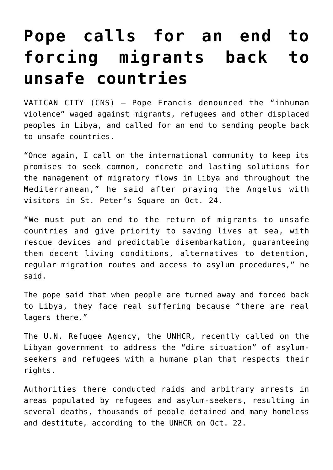## **[Pope calls for an end to](https://www.osvnews.com/2021/10/25/pope-calls-for-an-end-to-forcing-migrants-back-to-unsafe-countries/) [forcing migrants back to](https://www.osvnews.com/2021/10/25/pope-calls-for-an-end-to-forcing-migrants-back-to-unsafe-countries/) [unsafe countries](https://www.osvnews.com/2021/10/25/pope-calls-for-an-end-to-forcing-migrants-back-to-unsafe-countries/)**

VATICAN CITY (CNS) — Pope Francis denounced the "inhuman violence" waged against migrants, refugees and other displaced peoples in Libya, and called for an end to sending people back to unsafe countries.

"Once again, I call on the international community to keep its promises to seek common, concrete and lasting solutions for the management of migratory flows in Libya and throughout the Mediterranean," he said after praying the Angelus with visitors in St. Peter's Square on Oct. 24.

"We must put an end to the return of migrants to unsafe countries and give priority to saving lives at sea, with rescue devices and predictable disembarkation, guaranteeing them decent living conditions, alternatives to detention, regular migration routes and access to asylum procedures," he said.

The pope said that when people are turned away and forced back to Libya, they face real suffering because "there are real lagers there."

The U.N. Refugee Agency, the UNHCR, recently called on the Libyan government to address the "dire situation" of asylumseekers and refugees with a humane plan that respects their rights.

Authorities there conducted raids and arbitrary arrests in areas populated by refugees and asylum-seekers, resulting in several deaths, thousands of people detained and many homeless and destitute, according to the UNHCR on Oct. 22.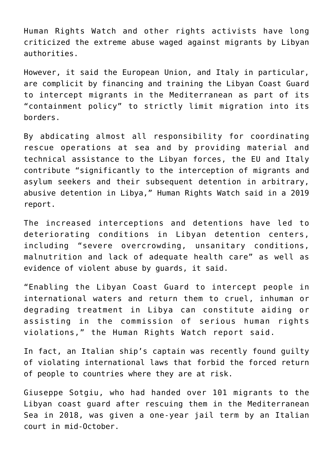Human Rights Watch and other rights activists have long criticized the extreme abuse waged against migrants by Libyan authorities.

However, it said the European Union, and Italy in particular, are complicit by financing and training the Libyan Coast Guard to intercept migrants in the Mediterranean as part of its "containment policy" to strictly limit migration into its borders.

By abdicating almost all responsibility for coordinating rescue operations at sea and by providing material and technical assistance to the Libyan forces, the EU and Italy contribute "significantly to the interception of migrants and asylum seekers and their subsequent detention in arbitrary, abusive detention in Libya," Human Rights Watch said in a 2019 report.

The increased interceptions and detentions have led to deteriorating conditions in Libyan detention centers, including "severe overcrowding, unsanitary conditions, malnutrition and lack of adequate health care" as well as evidence of violent abuse by guards, it said.

"Enabling the Libyan Coast Guard to intercept people in international waters and return them to cruel, inhuman or degrading treatment in Libya can constitute aiding or assisting in the commission of serious human rights violations," the Human Rights Watch report said.

In fact, an Italian ship's captain was recently found guilty of violating international laws that forbid the forced return of people to countries where they are at risk.

Giuseppe Sotgiu, who had handed over 101 migrants to the Libyan coast guard after rescuing them in the Mediterranean Sea in 2018, was given a one-year jail term by an Italian court in mid-October.